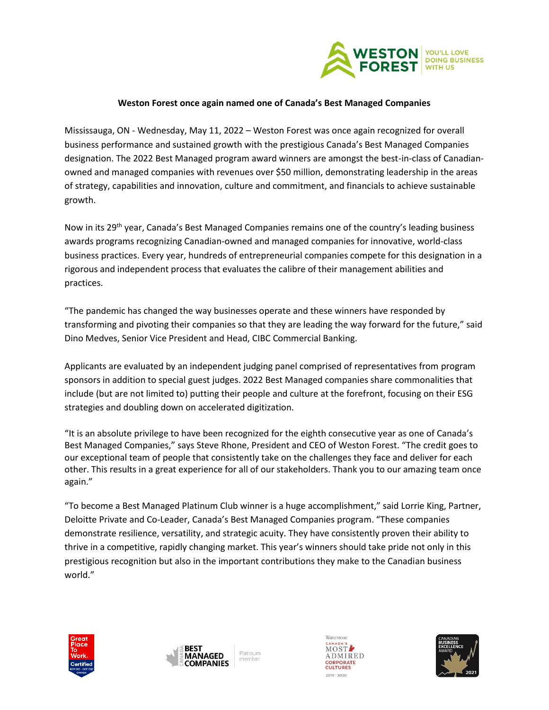

## **Weston Forest once again named one of Canada's Best Managed Companies**

Mississauga, ON - Wednesday, May 11, 2022 – Weston Forest was once again recognized for overall business performance and sustained growth with the prestigious Canada's Best Managed Companies designation. The 2022 Best Managed program award winners are amongst the best-in-class of Canadianowned and managed companies with revenues over \$50 million, demonstrating leadership in the areas of strategy, capabilities and innovation, culture and commitment, and financials to achieve sustainable growth.

Now in its 29<sup>th</sup> year, Canada's Best Managed Companies remains one of the country's leading business awards programs recognizing Canadian-owned and managed companies for innovative, world-class business practices. Every year, hundreds of entrepreneurial companies compete for this designation in a rigorous and independent process that evaluates the calibre of their management abilities and practices.

"The pandemic has changed the way businesses operate and these winners have responded by transforming and pivoting their companies so that they are leading the way forward for the future," said Dino Medves, Senior Vice President and Head, CIBC Commercial Banking.

Applicants are evaluated by an independent judging panel comprised of representatives from program sponsors in addition to special guest judges. 2022 Best Managed companies share commonalities that include (but are not limited to) putting their people and culture at the forefront, focusing on their ESG strategies and doubling down on accelerated digitization.

"It is an absolute privilege to have been recognized for the eighth consecutive year as one of Canada's Best Managed Companies," says Steve Rhone, President and CEO of Weston Forest. "The credit goes to our exceptional team of people that consistently take on the challenges they face and deliver for each other. This results in a great experience for all of our stakeholders. Thank you to our amazing team once again."

"To become a Best Managed Platinum Club winner is a huge accomplishment," said Lorrie King, Partner, Deloitte Private and Co-Leader, Canada's Best Managed Companies program. "These companies demonstrate resilience, versatility, and strategic acuity. They have consistently proven their ability to thrive in a competitive, rapidly changing market. This year's winners should take pride not only in this prestigious recognition but also in the important contributions they make to the Canadian business world."







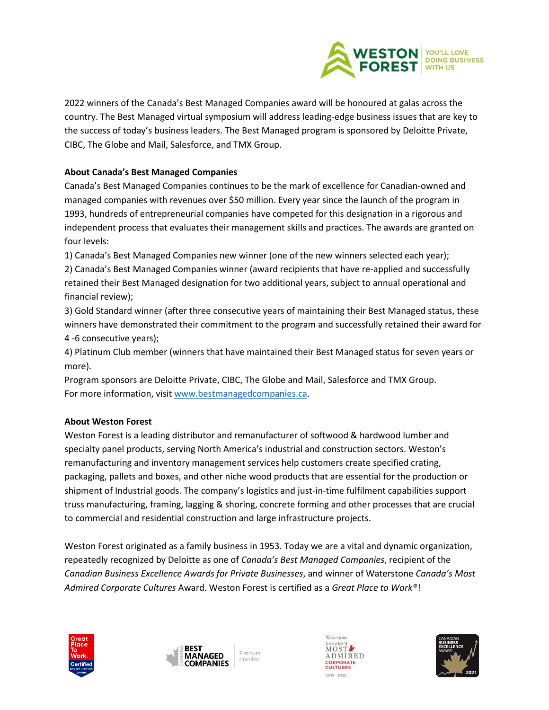

2022 winners of the Canada's Best Managed Companies award will be honoured at galas across the country. The Best Managed virtual symposium will address leading-edge business issues that are key to the success of today's business leaders. The Best Managed program is sponsored by Deloitte Private, CIBC, The Globe and Mail, Salesforce, and TMX Group.

## **About Canada's Best Managed Companies**

Canada's Best Managed Companies continues to be the mark of excellence for Canadian-owned and managed companies with revenues over \$50 million. Every year since the launch of the program in 1993, hundreds of entrepreneurial companies have competed for this designation in a rigorous and independent process that evaluates their management skills and practices. The awards are granted on four levels:

1) Canada's Best Managed Companies new winner (one of the new winners selected each year);

2) Canada's Best Managed Companies winner (award recipients that have re-applied and successfully retained their Best Managed designation for two additional years, subject to annual operational and financial review);

3) Gold Standard winner (after three consecutive years of maintaining their Best Managed status, these winners have demonstrated their commitment to the program and successfully retained their award for 4 -6 consecutive years);

4) Platinum Club member (winners that have maintained their Best Managed status for seven years or more).

Program sponsors are Deloitte Private, CIBC, The Globe and Mail, Salesforce and TMX Group. For more information, visi[t www.bestmanagedcompanies.ca.](http://www.bestmanagedcompanies.ca/)

## **About Weston Forest**

Weston Forest is a leading distributor and remanufacturer of softwood & hardwood lumber and specialty panel products, serving North America's industrial and construction sectors. Weston's remanufacturing and inventory management services help customers create specified crating, packaging, pallets and boxes, and other niche wood products that are essential for the production or shipment of Industrial goods. The company's logistics and just-in-time fulfilment capabilities support truss manufacturing, framing, lagging & shoring, concrete forming and other processes that are crucial to commercial and residential construction and large infrastructure projects.

Weston Forest originated as a family business in 1953. Today we are a vital and dynamic organization, repeatedly recognized by Deloitte as one of *Canada's Best Managed Companies*, recipient of the *Canadian Business Excellence Awards for Private Businesses*, and winner of Waterstone *Canada's Most Admired Corporate Cultures* Award. Weston Forest is certified as a *Great Place to Work®*!

Platinum

member